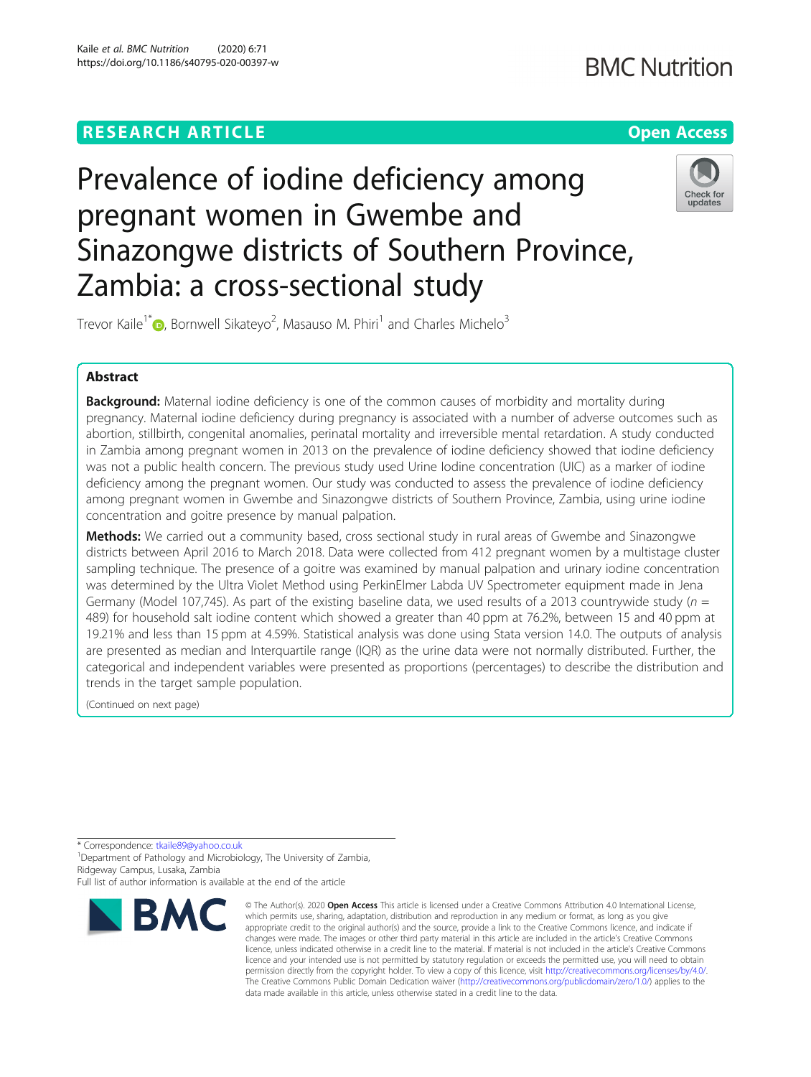## **RESEARCH ARTICLE Example 2014 12:30 The Contract of Contract ACCESS**

## **BMC Nutrition**



# Prevalence of iodine deficiency among pregnant women in Gwembe and Sinazongwe districts of Southern Province, Zambia: a cross-sectional study



Trevor Kaile<sup>1\*</sup> <sub>(</sub> Bornwell Sikateyo<sup>2</sup>[,](http://orcid.org/0000-0002-6719-0094) Masauso M. Phiri<sup>1</sup> and Charles Michelo<sup>3</sup>

## Abstract

**Background:** Maternal iodine deficiency is one of the common causes of morbidity and mortality during pregnancy. Maternal iodine deficiency during pregnancy is associated with a number of adverse outcomes such as abortion, stillbirth, congenital anomalies, perinatal mortality and irreversible mental retardation. A study conducted in Zambia among pregnant women in 2013 on the prevalence of iodine deficiency showed that iodine deficiency was not a public health concern. The previous study used Urine Iodine concentration (UIC) as a marker of iodine deficiency among the pregnant women. Our study was conducted to assess the prevalence of iodine deficiency among pregnant women in Gwembe and Sinazongwe districts of Southern Province, Zambia, using urine iodine concentration and goitre presence by manual palpation.

Methods: We carried out a community based, cross sectional study in rural areas of Gwembe and Sinazongwe districts between April 2016 to March 2018. Data were collected from 412 pregnant women by a multistage cluster sampling technique. The presence of a goitre was examined by manual palpation and urinary iodine concentration was determined by the Ultra Violet Method using PerkinElmer Labda UV Spectrometer equipment made in Jena Germany (Model 107,745). As part of the existing baseline data, we used results of a 2013 countrywide study ( $n =$ 489) for household salt iodine content which showed a greater than 40 ppm at 76.2%, between 15 and 40 ppm at 19.21% and less than 15 ppm at 4.59%. Statistical analysis was done using Stata version 14.0. The outputs of analysis are presented as median and Interquartile range (IQR) as the urine data were not normally distributed. Further, the categorical and independent variables were presented as proportions (percentages) to describe the distribution and trends in the target sample population.

(Continued on next page)

\* Correspondence: [tkaile89@yahoo.co.uk](mailto:tkaile89@yahoo.co.uk) <sup>1</sup>

<sup>1</sup> Department of Pathology and Microbiology, The University of Zambia, Ridgeway Campus, Lusaka, Zambia

Full list of author information is available at the end of the article



<sup>©</sup> The Author(s), 2020 **Open Access** This article is licensed under a Creative Commons Attribution 4.0 International License, which permits use, sharing, adaptation, distribution and reproduction in any medium or format, as long as you give appropriate credit to the original author(s) and the source, provide a link to the Creative Commons licence, and indicate if changes were made. The images or other third party material in this article are included in the article's Creative Commons licence, unless indicated otherwise in a credit line to the material. If material is not included in the article's Creative Commons licence and your intended use is not permitted by statutory regulation or exceeds the permitted use, you will need to obtain permission directly from the copyright holder. To view a copy of this licence, visit [http://creativecommons.org/licenses/by/4.0/.](http://creativecommons.org/licenses/by/4.0/) The Creative Commons Public Domain Dedication waiver [\(http://creativecommons.org/publicdomain/zero/1.0/](http://creativecommons.org/publicdomain/zero/1.0/)) applies to the data made available in this article, unless otherwise stated in a credit line to the data.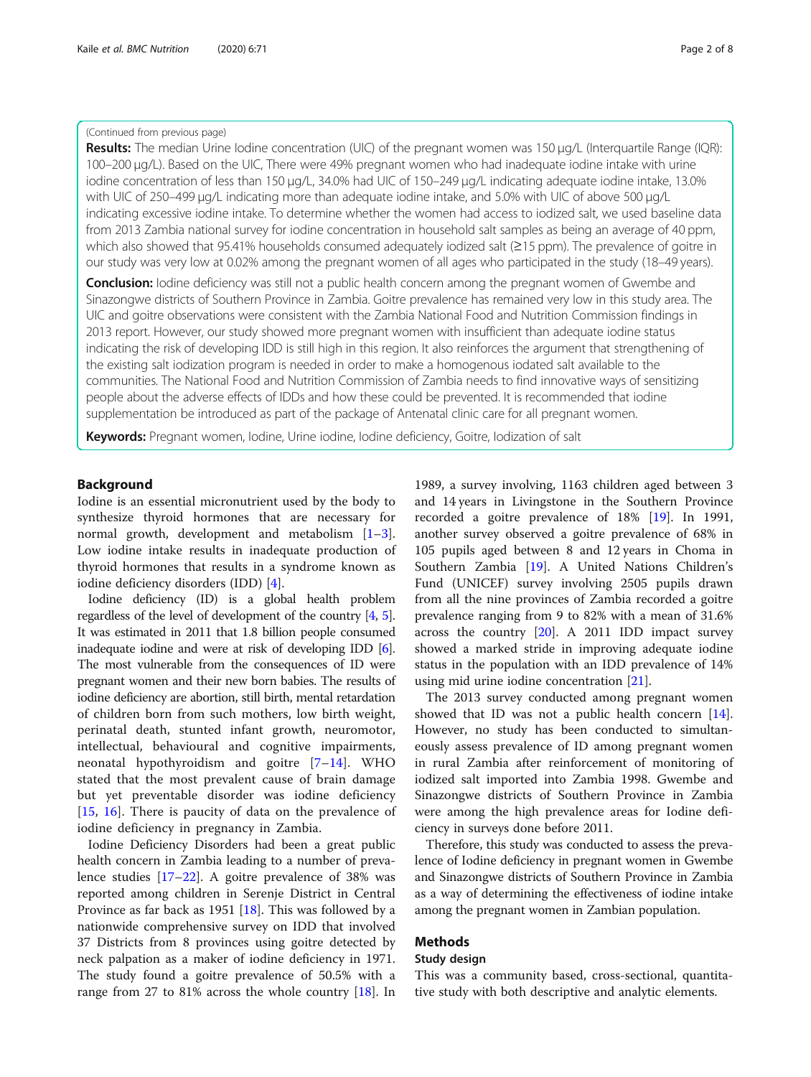#### (Continued from previous page)

Results: The median Urine Iodine concentration (UIC) of the pregnant women was 150 μg/L (Interquartile Range (IQR): 100–200 μg/L). Based on the UIC, There were 49% pregnant women who had inadequate iodine intake with urine iodine concentration of less than 150 μg/L, 34.0% had UIC of 150–249 μg/L indicating adequate iodine intake, 13.0% with UIC of 250–499 μg/L indicating more than adequate iodine intake, and 5.0% with UIC of above 500 μg/L indicating excessive iodine intake. To determine whether the women had access to iodized salt, we used baseline data from 2013 Zambia national survey for iodine concentration in household salt samples as being an average of 40 ppm, which also showed that 95.41% households consumed adequately iodized salt (≥15 ppm). The prevalence of goitre in our study was very low at 0.02% among the pregnant women of all ages who participated in the study (18–49 years).

**Conclusion:** Iodine deficiency was still not a public health concern among the pregnant women of Gwembe and Sinazongwe districts of Southern Province in Zambia. Goitre prevalence has remained very low in this study area. The UIC and goitre observations were consistent with the Zambia National Food and Nutrition Commission findings in 2013 report. However, our study showed more pregnant women with insufficient than adequate iodine status indicating the risk of developing IDD is still high in this region. It also reinforces the argument that strengthening of the existing salt iodization program is needed in order to make a homogenous iodated salt available to the communities. The National Food and Nutrition Commission of Zambia needs to find innovative ways of sensitizing people about the adverse effects of IDDs and how these could be prevented. It is recommended that iodine supplementation be introduced as part of the package of Antenatal clinic care for all pregnant women.

Keywords: Pregnant women, Iodine, Urine iodine, Iodine deficiency, Goitre, Iodization of salt

## Background

Iodine is an essential micronutrient used by the body to synthesize thyroid hormones that are necessary for normal growth, development and metabolism [\[1](#page-6-0)–[3](#page-6-0)]. Low iodine intake results in inadequate production of thyroid hormones that results in a syndrome known as iodine deficiency disorders (IDD) [[4\]](#page-6-0).

Iodine deficiency (ID) is a global health problem regardless of the level of development of the country [\[4,](#page-6-0) [5](#page-6-0)]. It was estimated in 2011 that 1.8 billion people consumed inadequate iodine and were at risk of developing IDD [[6](#page-6-0)]. The most vulnerable from the consequences of ID were pregnant women and their new born babies. The results of iodine deficiency are abortion, still birth, mental retardation of children born from such mothers, low birth weight, perinatal death, stunted infant growth, neuromotor, intellectual, behavioural and cognitive impairments, neonatal hypothyroidism and goitre [[7](#page-6-0)–[14](#page-7-0)]. WHO stated that the most prevalent cause of brain damage but yet preventable disorder was iodine deficiency [[15,](#page-7-0) [16](#page-7-0)]. There is paucity of data on the prevalence of iodine deficiency in pregnancy in Zambia.

Iodine Deficiency Disorders had been a great public health concern in Zambia leading to a number of prevalence studies [\[17](#page-7-0)–[22](#page-7-0)]. A goitre prevalence of 38% was reported among children in Serenje District in Central Province as far back as 1951 [[18\]](#page-7-0). This was followed by a nationwide comprehensive survey on IDD that involved 37 Districts from 8 provinces using goitre detected by neck palpation as a maker of iodine deficiency in 1971. The study found a goitre prevalence of 50.5% with a range from 27 to 81% across the whole country [\[18\]](#page-7-0). In

1989, a survey involving, 1163 children aged between 3 and 14 years in Livingstone in the Southern Province recorded a goitre prevalence of 18% [[19\]](#page-7-0). In 1991, another survey observed a goitre prevalence of 68% in 105 pupils aged between 8 and 12 years in Choma in Southern Zambia [\[19\]](#page-7-0). A United Nations Children's Fund (UNICEF) survey involving 2505 pupils drawn from all the nine provinces of Zambia recorded a goitre prevalence ranging from 9 to 82% with a mean of 31.6% across the country [\[20](#page-7-0)]. A 2011 IDD impact survey showed a marked stride in improving adequate iodine status in the population with an IDD prevalence of 14% using mid urine iodine concentration [[21](#page-7-0)].

The 2013 survey conducted among pregnant women showed that ID was not a public health concern [\[14](#page-7-0)]. However, no study has been conducted to simultaneously assess prevalence of ID among pregnant women in rural Zambia after reinforcement of monitoring of iodized salt imported into Zambia 1998. Gwembe and Sinazongwe districts of Southern Province in Zambia were among the high prevalence areas for Iodine deficiency in surveys done before 2011.

Therefore, this study was conducted to assess the prevalence of Iodine deficiency in pregnant women in Gwembe and Sinazongwe districts of Southern Province in Zambia as a way of determining the effectiveness of iodine intake among the pregnant women in Zambian population.

### Methods

### Study design

This was a community based, cross-sectional, quantitative study with both descriptive and analytic elements.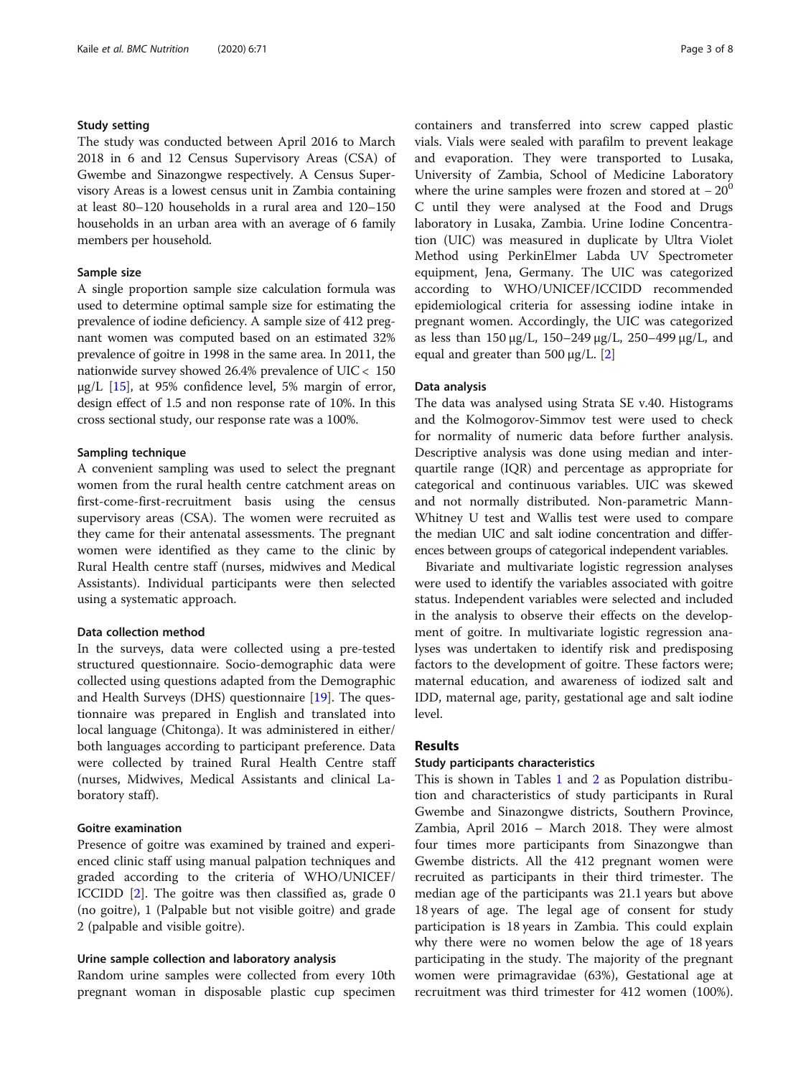## Study setting

The study was conducted between April 2016 to March 2018 in 6 and 12 Census Supervisory Areas (CSA) of Gwembe and Sinazongwe respectively. A Census Supervisory Areas is a lowest census unit in Zambia containing at least 80–120 households in a rural area and 120–150 households in an urban area with an average of 6 family members per household.

## Sample size

A single proportion sample size calculation formula was used to determine optimal sample size for estimating the prevalence of iodine deficiency. A sample size of 412 pregnant women was computed based on an estimated 32% prevalence of goitre in 1998 in the same area. In 2011, the nationwide survey showed 26.4% prevalence of UIC < 150 μg/L  $[15]$ , at 95% confidence level, 5% margin of error, design effect of 1.5 and non response rate of 10%. In this cross sectional study, our response rate was a 100%.

#### Sampling technique

A convenient sampling was used to select the pregnant women from the rural health centre catchment areas on first-come-first-recruitment basis using the census supervisory areas (CSA). The women were recruited as they came for their antenatal assessments. The pregnant women were identified as they came to the clinic by Rural Health centre staff (nurses, midwives and Medical Assistants). Individual participants were then selected using a systematic approach.

### Data collection method

In the surveys, data were collected using a pre-tested structured questionnaire. Socio-demographic data were collected using questions adapted from the Demographic and Health Surveys (DHS) questionnaire [[19](#page-7-0)]. The questionnaire was prepared in English and translated into local language (Chitonga). It was administered in either/ both languages according to participant preference. Data were collected by trained Rural Health Centre staff (nurses, Midwives, Medical Assistants and clinical Laboratory staff).

#### Goitre examination

Presence of goitre was examined by trained and experienced clinic staff using manual palpation techniques and graded according to the criteria of WHO/UNICEF/ ICCIDD [\[2](#page-6-0)]. The goitre was then classified as, grade 0 (no goitre), 1 (Palpable but not visible goitre) and grade 2 (palpable and visible goitre).

#### Urine sample collection and laboratory analysis

Random urine samples were collected from every 10th pregnant woman in disposable plastic cup specimen containers and transferred into screw capped plastic vials. Vials were sealed with parafilm to prevent leakage and evaporation. They were transported to Lusaka, University of Zambia, School of Medicine Laboratory where the urine samples were frozen and stored at  $-20^0$ C until they were analysed at the Food and Drugs laboratory in Lusaka, Zambia. Urine Iodine Concentration (UIC) was measured in duplicate by Ultra Violet Method using PerkinElmer Labda UV Spectrometer equipment, Jena, Germany. The UIC was categorized according to WHO/UNICEF/ICCIDD recommended epidemiological criteria for assessing iodine intake in pregnant women. Accordingly, the UIC was categorized as less than 150 μg/L, 150–249 μg/L, 250–499 μg/L, and equal and greater than 500 μg/L.  $[2]$  $[2]$ 

#### Data analysis

The data was analysed using Strata SE v.40. Histograms and the Kolmogorov-Simmov test were used to check for normality of numeric data before further analysis. Descriptive analysis was done using median and interquartile range (IQR) and percentage as appropriate for categorical and continuous variables. UIC was skewed and not normally distributed. Non-parametric Mann-Whitney U test and Wallis test were used to compare the median UIC and salt iodine concentration and differences between groups of categorical independent variables.

Bivariate and multivariate logistic regression analyses were used to identify the variables associated with goitre status. Independent variables were selected and included in the analysis to observe their effects on the development of goitre. In multivariate logistic regression analyses was undertaken to identify risk and predisposing factors to the development of goitre. These factors were; maternal education, and awareness of iodized salt and IDD, maternal age, parity, gestational age and salt iodine level.

#### Results

#### Study participants characteristics

This is shown in Tables [1](#page-3-0) and [2](#page-3-0) as Population distribution and characteristics of study participants in Rural Gwembe and Sinazongwe districts, Southern Province, Zambia, April 2016 – March 2018. They were almost four times more participants from Sinazongwe than Gwembe districts. All the 412 pregnant women were recruited as participants in their third trimester. The median age of the participants was 21.1 years but above 18 years of age. The legal age of consent for study participation is 18 years in Zambia. This could explain why there were no women below the age of 18 years participating in the study. The majority of the pregnant women were primagravidae (63%), Gestational age at recruitment was third trimester for 412 women (100%).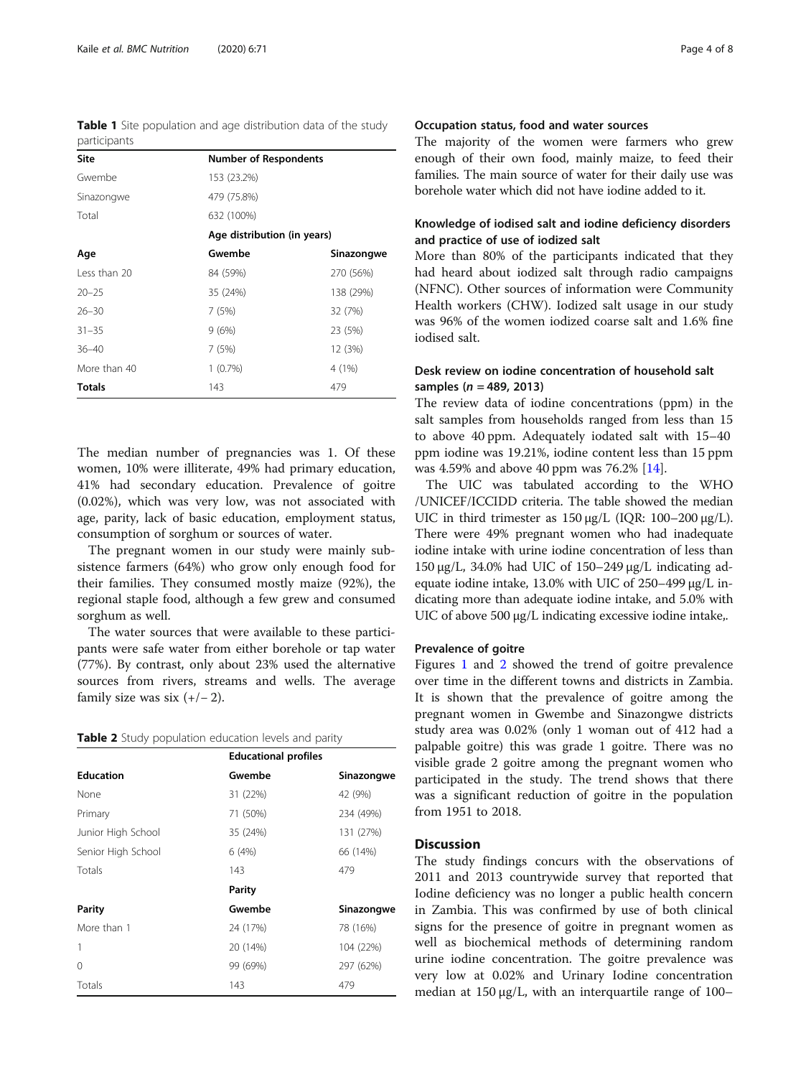<span id="page-3-0"></span>Table 1 Site population and age distribution data of the study participants

| <b>Number of Respondents</b> |                             |
|------------------------------|-----------------------------|
| 153 (23.2%)                  |                             |
| 479 (75.8%)                  |                             |
| 632 (100%)                   |                             |
|                              |                             |
| Gwembe                       | Sinazongwe                  |
| 84 (59%)                     | 270 (56%)                   |
| 35 (24%)                     | 138 (29%)                   |
| 7(5%)                        | 32 (7%)                     |
| 9(6%)                        | 23 (5%)                     |
| 7 (5%)                       | 12 (3%)                     |
| $1(0.7\%)$                   | 4 (1%)                      |
| 143                          | 479                         |
|                              | Age distribution (in years) |

The median number of pregnancies was 1. Of these women, 10% were illiterate, 49% had primary education, 41% had secondary education. Prevalence of goitre (0.02%), which was very low, was not associated with age, parity, lack of basic education, employment status, consumption of sorghum or sources of water.

The pregnant women in our study were mainly subsistence farmers (64%) who grow only enough food for their families. They consumed mostly maize (92%), the regional staple food, although a few grew and consumed sorghum as well.

The water sources that were available to these participants were safe water from either borehole or tap water (77%). By contrast, only about 23% used the alternative sources from rivers, streams and wells. The average family size was six  $(+/- 2)$ .

|  |  |  | Table 2 Study population education levels and parity |  |  |  |
|--|--|--|------------------------------------------------------|--|--|--|
|--|--|--|------------------------------------------------------|--|--|--|

|                    | <b>Educational profiles</b> |            |
|--------------------|-----------------------------|------------|
| <b>Education</b>   | Gwembe                      | Sinazongwe |
| None               | 31 (22%)                    | 42 (9%)    |
| Primary            | 71 (50%)                    | 234 (49%)  |
| Junior High School | 35 (24%)                    | 131 (27%)  |
| Senior High School | 6(4%)                       | 66 (14%)   |
| Totals             | 143                         | 479        |
|                    | <b>Parity</b>               |            |
| Parity             | Gwembe                      | Sinazongwe |
| More than 1        | 24 (17%)                    | 78 (16%)   |
| 1                  | 20 (14%)                    | 104 (22%)  |
| $\Omega$           | 99 (69%)                    | 297 (62%)  |
| Totals             | 143                         | 479        |

## Occupation status, food and water sources

The majority of the women were farmers who grew enough of their own food, mainly maize, to feed their families. The main source of water for their daily use was borehole water which did not have iodine added to it.

## Knowledge of iodised salt and iodine deficiency disorders and practice of use of iodized salt

More than 80% of the participants indicated that they had heard about iodized salt through radio campaigns (NFNC). Other sources of information were Community Health workers (CHW). Iodized salt usage in our study was 96% of the women iodized coarse salt and 1.6% fine iodised salt.

## Desk review on iodine concentration of household salt samples ( $n = 489, 2013$ )

The review data of iodine concentrations (ppm) in the salt samples from households ranged from less than 15 to above 40 ppm. Adequately iodated salt with 15–40 ppm iodine was 19.21%, iodine content less than 15 ppm was 4.59% and above 40 ppm was 76.2% [[14\]](#page-7-0).

The UIC was tabulated according to the WHO /UNICEF/ICCIDD criteria. The table showed the median UIC in third trimester as 150 μg/L (IQR: 100–200 μg/L). There were 49% pregnant women who had inadequate iodine intake with urine iodine concentration of less than 150 μg/L, 34.0% had UIC of 150–249 μg/L indicating adequate iodine intake, 13.0% with UIC of 250–499 μg/L indicating more than adequate iodine intake, and 5.0% with UIC of above 500 μg/L indicating excessive iodine intake,.

### Prevalence of goitre

Figures [1](#page-4-0) and [2](#page-4-0) showed the trend of goitre prevalence over time in the different towns and districts in Zambia. It is shown that the prevalence of goitre among the pregnant women in Gwembe and Sinazongwe districts study area was 0.02% (only 1 woman out of 412 had a palpable goitre) this was grade 1 goitre. There was no visible grade 2 goitre among the pregnant women who participated in the study. The trend shows that there was a significant reduction of goitre in the population from 1951 to 2018.

## **Discussion**

The study findings concurs with the observations of 2011 and 2013 countrywide survey that reported that Iodine deficiency was no longer a public health concern in Zambia. This was confirmed by use of both clinical signs for the presence of goitre in pregnant women as well as biochemical methods of determining random urine iodine concentration. The goitre prevalence was very low at 0.02% and Urinary Iodine concentration median at 150 μg/L, with an interquartile range of 100–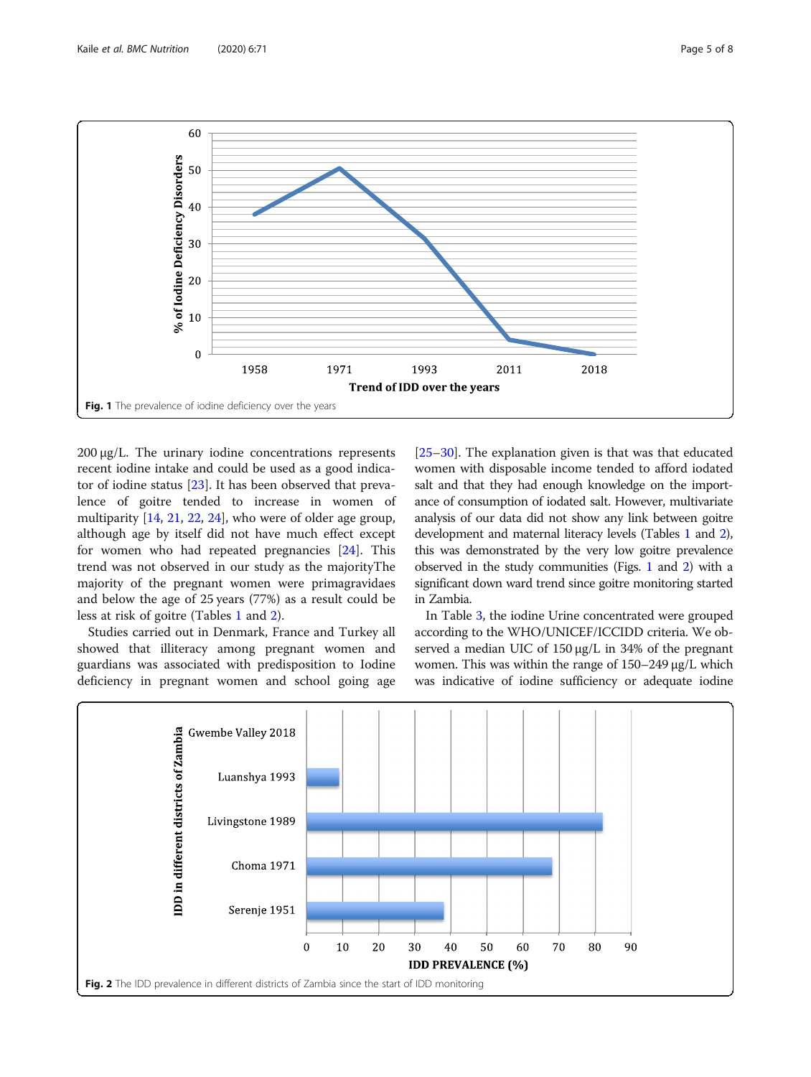<span id="page-4-0"></span>

200 μg/L. The urinary iodine concentrations represents recent iodine intake and could be used as a good indicator of iodine status [\[23](#page-7-0)]. It has been observed that prevalence of goitre tended to increase in women of multiparity [[14,](#page-7-0) [21,](#page-7-0) [22,](#page-7-0) [24](#page-7-0)], who were of older age group, although age by itself did not have much effect except for women who had repeated pregnancies [\[24](#page-7-0)]. This trend was not observed in our study as the majorityThe majority of the pregnant women were primagravidaes and below the age of 25 years (77%) as a result could be less at risk of goitre (Tables [1](#page-3-0) and [2\)](#page-3-0).

Studies carried out in Denmark, France and Turkey all showed that illiteracy among pregnant women and guardians was associated with predisposition to Iodine deficiency in pregnant women and school going age

[[25](#page-7-0)–[30](#page-7-0)]. The explanation given is that was that educated women with disposable income tended to afford iodated salt and that they had enough knowledge on the importance of consumption of iodated salt. However, multivariate analysis of our data did not show any link between goitre development and maternal literacy levels (Tables [1](#page-3-0) and [2](#page-3-0)), this was demonstrated by the very low goitre prevalence observed in the study communities (Figs. 1 and 2) with a significant down ward trend since goitre monitoring started in Zambia.

In Table [3,](#page-5-0) the iodine Urine concentrated were grouped according to the WHO/UNICEF/ICCIDD criteria. We observed a median UIC of 150 μg/L in 34% of the pregnant women. This was within the range of 150–249 μg/L which was indicative of iodine sufficiency or adequate iodine

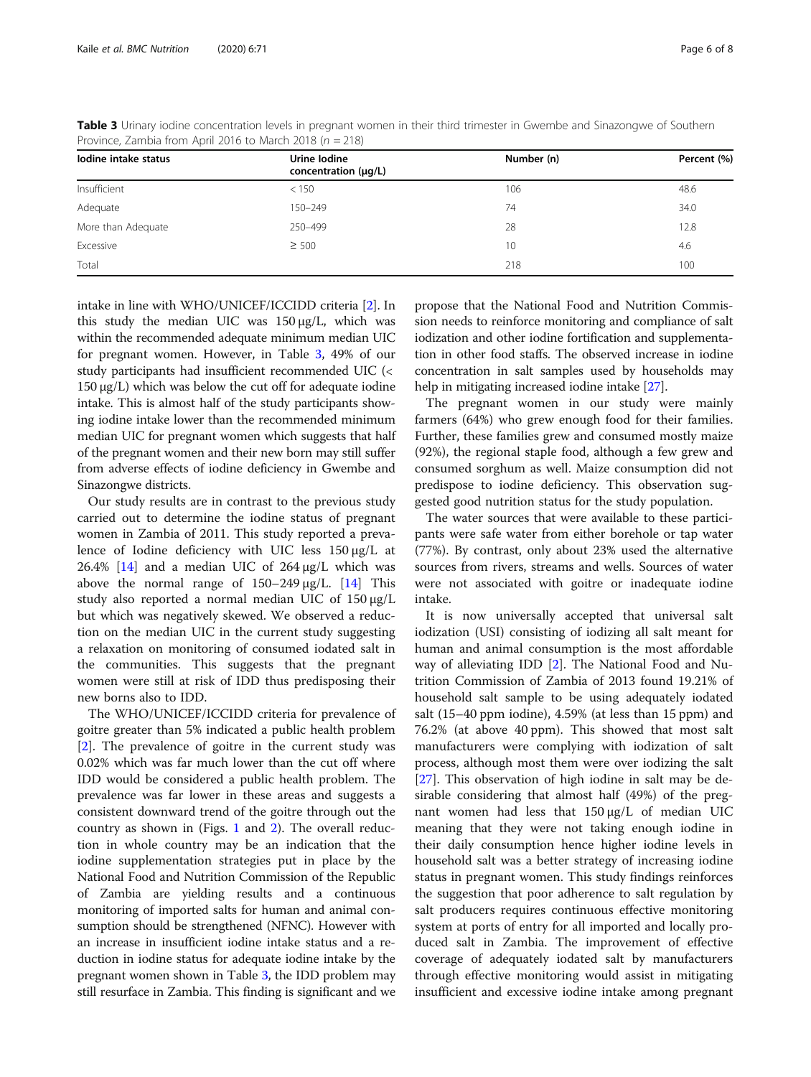| lodine intake status | Urine Iodine<br>concentration (µg/L) | Number (n)      | Percent (%) |
|----------------------|--------------------------------------|-----------------|-------------|
| Insufficient         | < 150                                | 106             | 48.6        |
| Adequate             | 150-249                              | 74              | 34.0        |
| More than Adequate   | 250-499                              | 28              | 12.8        |
| Excessive            | $\geq 500$                           | 10 <sup>°</sup> | 4.6         |
| Total                |                                      | 218             | 100         |

<span id="page-5-0"></span>Table 3 Urinary iodine concentration levels in pregnant women in their third trimester in Gwembe and Sinazongwe of Southern Province, Zambia from April 2016 to March 2018 ( $n = 218$ )

intake in line with WHO/UNICEF/ICCIDD criteria [\[2\]](#page-6-0). In this study the median UIC was 150 μg/L, which was within the recommended adequate minimum median UIC for pregnant women. However, in Table 3, 49% of our study participants had insufficient recommended UIC (< 150 μg/L) which was below the cut off for adequate iodine intake. This is almost half of the study participants showing iodine intake lower than the recommended minimum median UIC for pregnant women which suggests that half of the pregnant women and their new born may still suffer from adverse effects of iodine deficiency in Gwembe and Sinazongwe districts.

Our study results are in contrast to the previous study carried out to determine the iodine status of pregnant women in Zambia of 2011. This study reported a prevalence of Iodine deficiency with UIC less 150 μg/L at 26.4%  $[14]$  $[14]$  and a median UIC of 264  $\mu$ g/L which was above the normal range of  $150-249 \mu g/L$ . [\[14\]](#page-7-0) This study also reported a normal median UIC of 150 μg/L but which was negatively skewed. We observed a reduction on the median UIC in the current study suggesting a relaxation on monitoring of consumed iodated salt in the communities. This suggests that the pregnant women were still at risk of IDD thus predisposing their new borns also to IDD.

The WHO/UNICEF/ICCIDD criteria for prevalence of goitre greater than 5% indicated a public health problem [[2\]](#page-6-0). The prevalence of goitre in the current study was 0.02% which was far much lower than the cut off where IDD would be considered a public health problem. The prevalence was far lower in these areas and suggests a consistent downward trend of the goitre through out the country as shown in (Figs. [1](#page-4-0) and [2\)](#page-4-0). The overall reduction in whole country may be an indication that the iodine supplementation strategies put in place by the National Food and Nutrition Commission of the Republic of Zambia are yielding results and a continuous monitoring of imported salts for human and animal consumption should be strengthened (NFNC). However with an increase in insufficient iodine intake status and a reduction in iodine status for adequate iodine intake by the pregnant women shown in Table 3, the IDD problem may still resurface in Zambia. This finding is significant and we

propose that the National Food and Nutrition Commission needs to reinforce monitoring and compliance of salt iodization and other iodine fortification and supplementation in other food staffs. The observed increase in iodine concentration in salt samples used by households may help in mitigating increased iodine intake [[27](#page-7-0)].

The pregnant women in our study were mainly farmers (64%) who grew enough food for their families. Further, these families grew and consumed mostly maize (92%), the regional staple food, although a few grew and consumed sorghum as well. Maize consumption did not predispose to iodine deficiency. This observation suggested good nutrition status for the study population.

The water sources that were available to these participants were safe water from either borehole or tap water (77%). By contrast, only about 23% used the alternative sources from rivers, streams and wells. Sources of water were not associated with goitre or inadequate iodine intake.

It is now universally accepted that universal salt iodization (USI) consisting of iodizing all salt meant for human and animal consumption is the most affordable way of alleviating IDD [[2\]](#page-6-0). The National Food and Nutrition Commission of Zambia of 2013 found 19.21% of household salt sample to be using adequately iodated salt (15–40 ppm iodine), 4.59% (at less than 15 ppm) and 76.2% (at above 40 ppm). This showed that most salt manufacturers were complying with iodization of salt process, although most them were over iodizing the salt [[27\]](#page-7-0). This observation of high iodine in salt may be desirable considering that almost half (49%) of the pregnant women had less that 150 μg/L of median UIC meaning that they were not taking enough iodine in their daily consumption hence higher iodine levels in household salt was a better strategy of increasing iodine status in pregnant women. This study findings reinforces the suggestion that poor adherence to salt regulation by salt producers requires continuous effective monitoring system at ports of entry for all imported and locally produced salt in Zambia. The improvement of effective coverage of adequately iodated salt by manufacturers through effective monitoring would assist in mitigating insufficient and excessive iodine intake among pregnant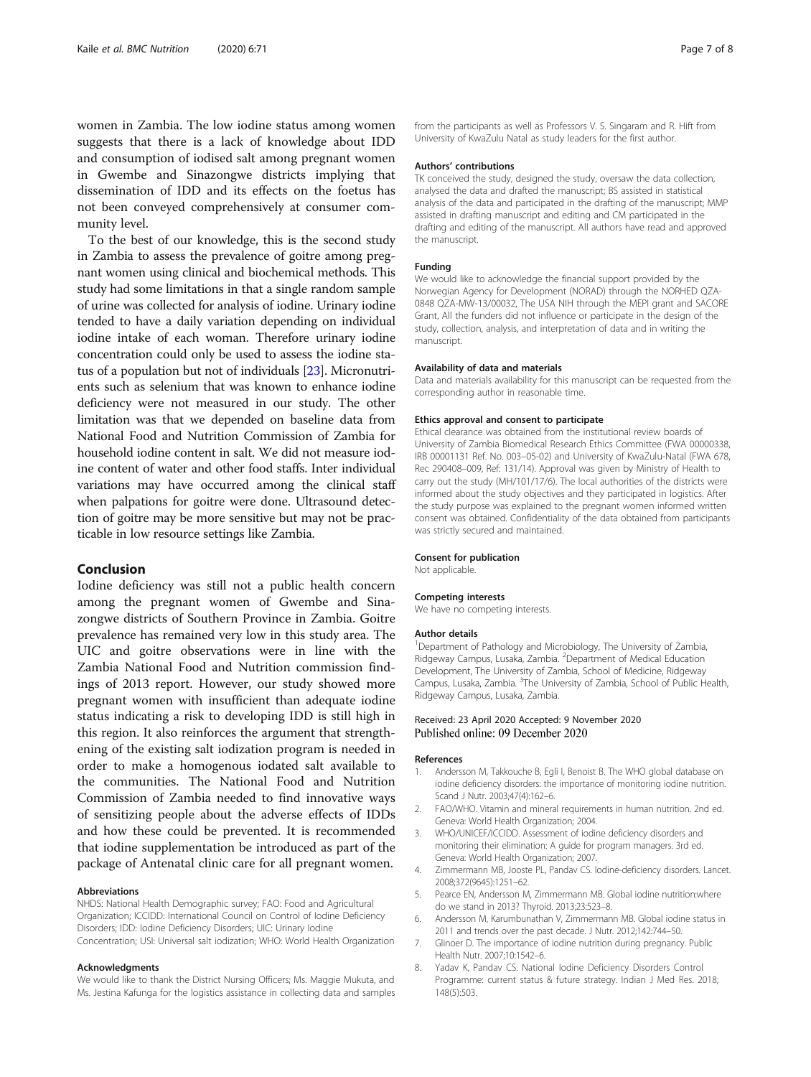<span id="page-6-0"></span>women in Zambia. The low iodine status among women suggests that there is a lack of knowledge about IDD and consumption of iodised salt among pregnant women in Gwembe and Sinazongwe districts implying that dissemination of IDD and its effects on the foetus has not been conveyed comprehensively at consumer community level.

To the best of our knowledge, this is the second study in Zambia to assess the prevalence of goitre among pregnant women using clinical and biochemical methods. This study had some limitations in that a single random sample of urine was collected for analysis of iodine. Urinary iodine tended to have a daily variation depending on individual iodine intake of each woman. Therefore urinary iodine concentration could only be used to assess the iodine status of a population but not of individuals [[23](#page-7-0)]. Micronutrients such as selenium that was known to enhance iodine deficiency were not measured in our study. The other limitation was that we depended on baseline data from National Food and Nutrition Commission of Zambia for household iodine content in salt. We did not measure iodine content of water and other food staffs. Inter individual variations may have occurred among the clinical staff when palpations for goitre were done. Ultrasound detection of goitre may be more sensitive but may not be practicable in low resource settings like Zambia.

## Conclusion

Iodine deficiency was still not a public health concern among the pregnant women of Gwembe and Sinazongwe districts of Southern Province in Zambia. Goitre prevalence has remained very low in this study area. The UIC and goitre observations were in line with the Zambia National Food and Nutrition commission findings of 2013 report. However, our study showed more pregnant women with insufficient than adequate iodine status indicating a risk to developing IDD is still high in this region. It also reinforces the argument that strengthening of the existing salt iodization program is needed in order to make a homogenous iodated salt available to the communities. The National Food and Nutrition Commission of Zambia needed to find innovative ways of sensitizing people about the adverse effects of IDDs and how these could be prevented. It is recommended that iodine supplementation be introduced as part of the package of Antenatal clinic care for all pregnant women.

#### Abbreviations

NHDS: National Health Demographic survey; FAO: Food and Agricultural Organization; ICCIDD: International Council on Control of Iodine Deficiency Disorders; IDD: Iodine Deficiency Disorders; UIC: Urinary Iodine Concentration; USI: Universal salt iodization; WHO: World Health Organization

#### Acknowledgments

We would like to thank the District Nursing Officers; Ms. Maggie Mukuta, and Ms. Jestina Kafunga for the logistics assistance in collecting data and samples from the participants as well as Professors V. S. Singaram and R. Hift from University of KwaZulu Natal as study leaders for the first author.

#### Authors' contributions

TK conceived the study, designed the study, oversaw the data collection, analysed the data and drafted the manuscript; BS assisted in statistical analysis of the data and participated in the drafting of the manuscript; MMP assisted in drafting manuscript and editing and CM participated in the drafting and editing of the manuscript. All authors have read and approved the manuscript.

#### Funding

We would like to acknowledge the financial support provided by the Norwegian Agency for Development (NORAD) through the NORHED QZA-0848 QZA-MW-13/00032, The USA NIH through the MEPI grant and SACORE Grant, All the funders did not influence or participate in the design of the study, collection, analysis, and interpretation of data and in writing the manuscript.

#### Availability of data and materials

Data and materials availability for this manuscript can be requested from the corresponding author in reasonable time.

#### Ethics approval and consent to participate

Ethical clearance was obtained from the institutional review boards of University of Zambia Biomedical Research Ethics Committee (FWA 00000338, IRB 00001131 Ref. No. 003–05-02) and University of KwaZulu-Natal (FWA 678, Rec 290408–009, Ref: 131/14). Approval was given by Ministry of Health to carry out the study (MH/101/17/6). The local authorities of the districts were informed about the study objectives and they participated in logistics. After the study purpose was explained to the pregnant women informed written consent was obtained. Confidentiality of the data obtained from participants was strictly secured and maintained.

#### Consent for publication

Not applicable.

#### Competing interests

We have no competing interests.

#### Author details

<sup>1</sup>Department of Pathology and Microbiology, The University of Zambia, Ridgeway Campus, Lusaka, Zambia. <sup>2</sup>Department of Medical Education Development, The University of Zambia, School of Medicine, Ridgeway Campus, Lusaka, Zambia. <sup>3</sup>The University of Zambia, School of Public Health, Ridgeway Campus, Lusaka, Zambia.

#### Received: 23 April 2020 Accepted: 9 November 2020 Published online: 09 December 2020

#### References

- 1. Andersson M, Takkouche B, Egli I, Benoist B. The WHO global database on iodine deficiency disorders: the importance of monitoring iodine nutrition. Scand J Nutr. 2003;47(4):162–6.
- 2. FAO/WHO. Vitamin and mineral requirements in human nutrition. 2nd ed. Geneva: World Health Organization; 2004.
- 3. WHO/UNICEF/ICCIDD. Assessment of iodine deficiency disorders and monitoring their elimination: A guide for program managers. 3rd ed. Geneva: World Health Organization; 2007.
- 4. Zimmermann MB, Jooste PL, Pandav CS. Iodine-deficiency disorders. Lancet. 2008;372(9645):1251–62.
- 5. Pearce EN, Andersson M, Zimmermann MB. Global iodine nutrition:where do we stand in 2013? Thyroid. 2013;23:523–8.
- 6. Andersson M, Karumbunathan V, Zimmermann MB. Global iodine status in 2011 and trends over the past decade. J Nutr. 2012;142:744–50.
- 7. Glinoer D. The importance of iodine nutrition during pregnancy. Public Health Nutr. 2007;10:1542–6.
- 8. Yadav K, Pandav CS. National Iodine Deficiency Disorders Control Programme: current status & future strategy. Indian J Med Res. 2018; 148(5):503.